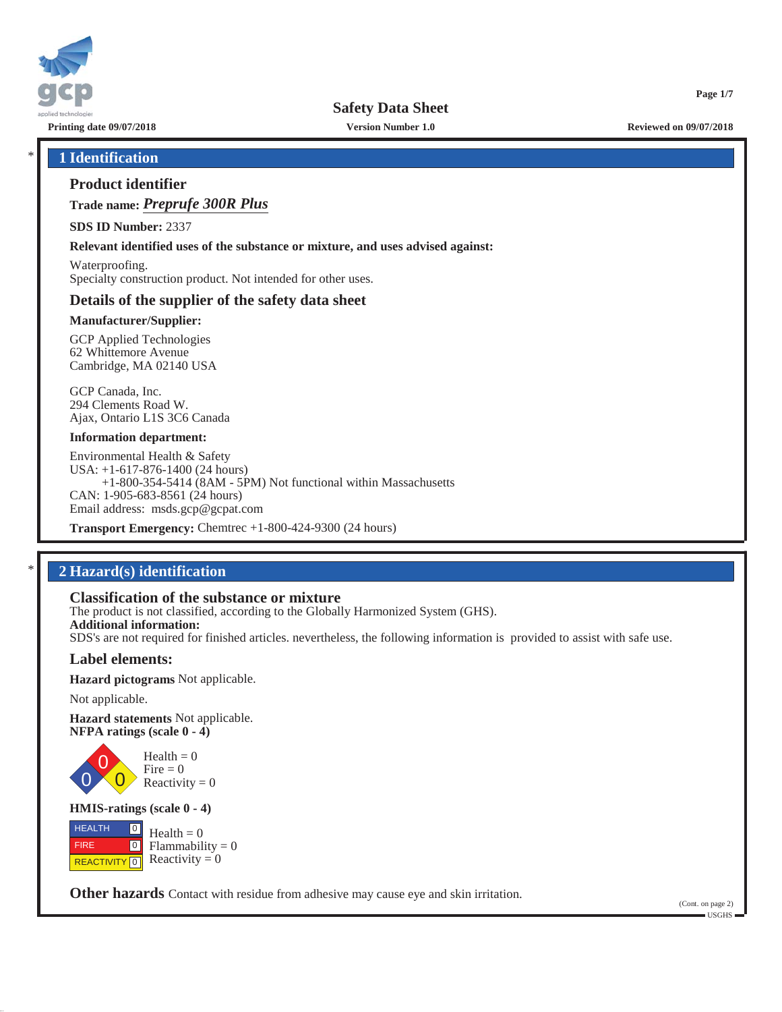

**Printing date 09/07/2018 Version Number 1.0 Reviewed on 09/07/2018**

**Page 1/7**

### \* **1 Identification**

### **Product identifier**

**Trade name:** *Preprufe 300R Plus*

**SDS ID Number:** 2337

**Relevant identified uses of the substance or mixture, and uses advised against:**

Waterproofing. Specialty construction product. Not intended for other uses.

### **Details of the supplier of the safety data sheet**

#### **Manufacturer/Supplier:**

GCP Applied Technologies 62 Whittemore Avenue Cambridge, MA 02140 USA

GCP Canada, Inc. 294 Clements Road W. Ajax, Ontario L1S 3C6 Canada

#### **Information department:**

Environmental Health & Safety USA: +1-617-876-1400 (24 hours) +1-800-354-5414 (8AM - 5PM) Not functional within Massachusetts CAN: 1-905-683-8561 (24 hours) Email address: msds.gcp@gcpat.com

**Transport Emergency:** Chemtrec +1-800-424-9300 (24 hours)

### \* **2 Hazard(s) identification**

### **Classification of the substance or mixture**

The product is not classified, according to the Globally Harmonized System (GHS). **Additional information:** SDS's are not required for finished articles. nevertheless, the following information is provided to assist with safe use.

### **Label elements:**

**Hazard pictograms** Not applicable.

Not applicable.

0

**Hazard statements** Not applicable. **NFPA ratings (scale 0 - 4)**

> 0  $\overline{0}$  $Health = 0$  $Fire = 0$ Reactivity  $= 0$

#### **HMIS-ratings (scale 0 - 4)**

 HEALTH FIRE **REACTIVITY** 0  $\boxed{0}$  $\boxed{0}$  $Health = 0$  $Flammability = 0$ Reactivity  $= 0$ 

**Other hazards** Contact with residue from adhesive may cause eye and skin irritation.

(Cont. on page 2) USGHS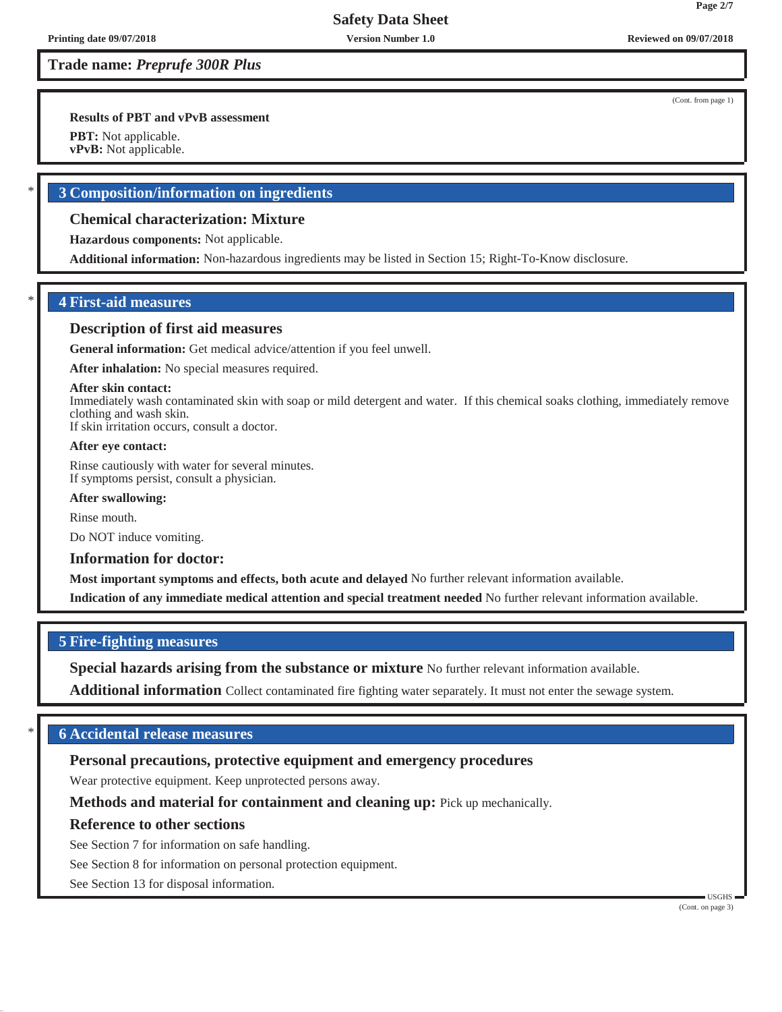**Results of PBT and vPvB assessment**

**PBT:** Not applicable.

**vPvB:** Not applicable.

### \* **3 Composition/information on ingredients**

### **Chemical characterization: Mixture**

**Hazardous components:** Not applicable.

**Additional information:** Non-hazardous ingredients may be listed in Section 15; Right-To-Know disclosure.

### **4 First-aid measures**

### **Description of first aid measures**

**General information:** Get medical advice/attention if you feel unwell.

**After inhalation:** No special measures required.

#### **After skin contact:**

Immediately wash contaminated skin with soap or mild detergent and water. If this chemical soaks clothing, immediately remove clothing and wash skin.

If skin irritation occurs, consult a doctor.

#### **After eye contact:**

Rinse cautiously with water for several minutes. If symptoms persist, consult a physician.

#### **After swallowing:**

Rinse mouth.

Do NOT induce vomiting.

#### **Information for doctor:**

**Most important symptoms and effects, both acute and delayed** No further relevant information available.

**Indication of any immediate medical attention and special treatment needed** No further relevant information available.

### **5 Fire-fighting measures**

**Special hazards arising from the substance or mixture** No further relevant information available.

**Additional information** Collect contaminated fire fighting water separately. It must not enter the sewage system.

### \* **6 Accidental release measures**

### **Personal precautions, protective equipment and emergency procedures**

Wear protective equipment. Keep unprotected persons away.

**Methods and material for containment and cleaning up:** Pick up mechanically.

### **Reference to other sections**

See Section 7 for information on safe handling.

See Section 8 for information on personal protection equipment.

See Section 13 for disposal information.

(Cont. from page 1)

**Page 2/7**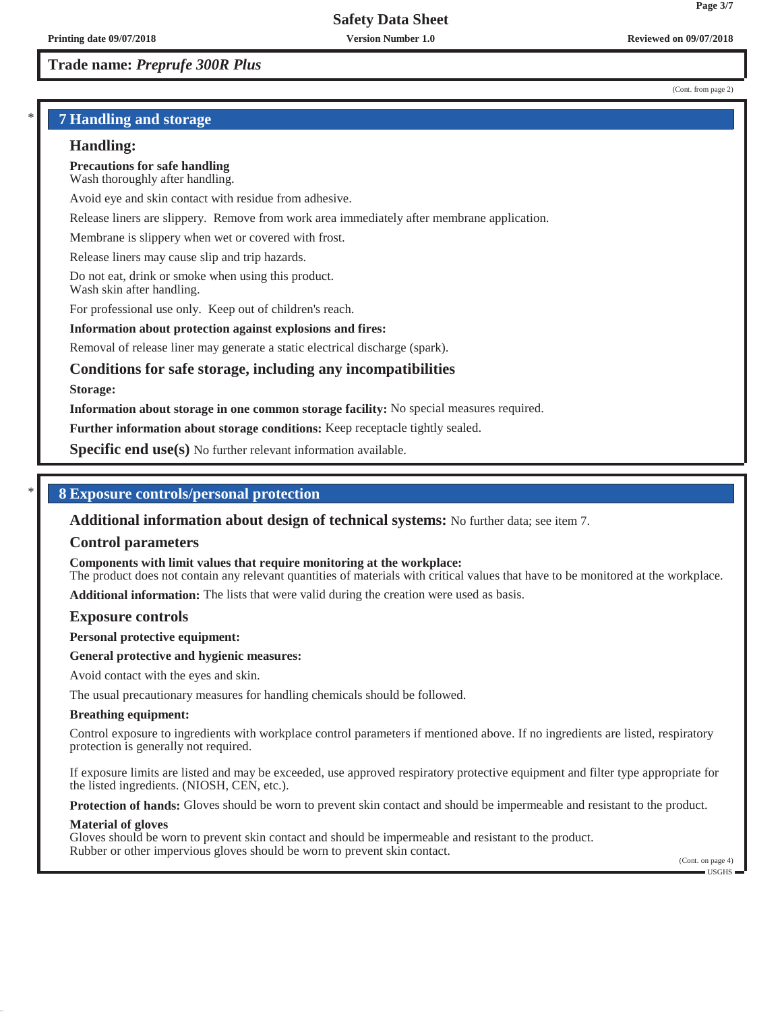#### (Cont. from page 2)

**Page 3/7**

### \* **7 Handling and storage**

#### **Handling:**

**Precautions for safe handling** Wash thoroughly after handling.

Avoid eye and skin contact with residue from adhesive.

Release liners are slippery. Remove from work area immediately after membrane application.

Membrane is slippery when wet or covered with frost.

Release liners may cause slip and trip hazards.

Do not eat, drink or smoke when using this product. Wash skin after handling.

For professional use only. Keep out of children's reach.

#### **Information about protection against explosions and fires:**

Removal of release liner may generate a static electrical discharge (spark).

### **Conditions for safe storage, including any incompatibilities**

#### **Storage:**

**Information about storage in one common storage facility:** No special measures required.

**Further information about storage conditions:** Keep receptacle tightly sealed.

**Specific end use(s)** No further relevant information available.

### \* **8 Exposure controls/personal protection**

**Additional information about design of technical systems:** No further data; see item 7.

#### **Control parameters**

**Components with limit values that require monitoring at the workplace:**

The product does not contain any relevant quantities of materials with critical values that have to be monitored at the workplace.

**Additional information:** The lists that were valid during the creation were used as basis.

#### **Exposure controls**

**Personal protective equipment:**

#### **General protective and hygienic measures:**

Avoid contact with the eyes and skin.

The usual precautionary measures for handling chemicals should be followed.

#### **Breathing equipment:**

Control exposure to ingredients with workplace control parameters if mentioned above. If no ingredients are listed, respiratory protection is generally not required.

If exposure limits are listed and may be exceeded, use approved respiratory protective equipment and filter type appropriate for the listed ingredients. (NIOSH, CEN, etc.).

**Protection of hands:** Gloves should be worn to prevent skin contact and should be impermeable and resistant to the product.

#### **Material of gloves**

Gloves should be worn to prevent skin contact and should be impermeable and resistant to the product. Rubber or other impervious gloves should be worn to prevent skin contact.

(Cont. on page 4) USGHS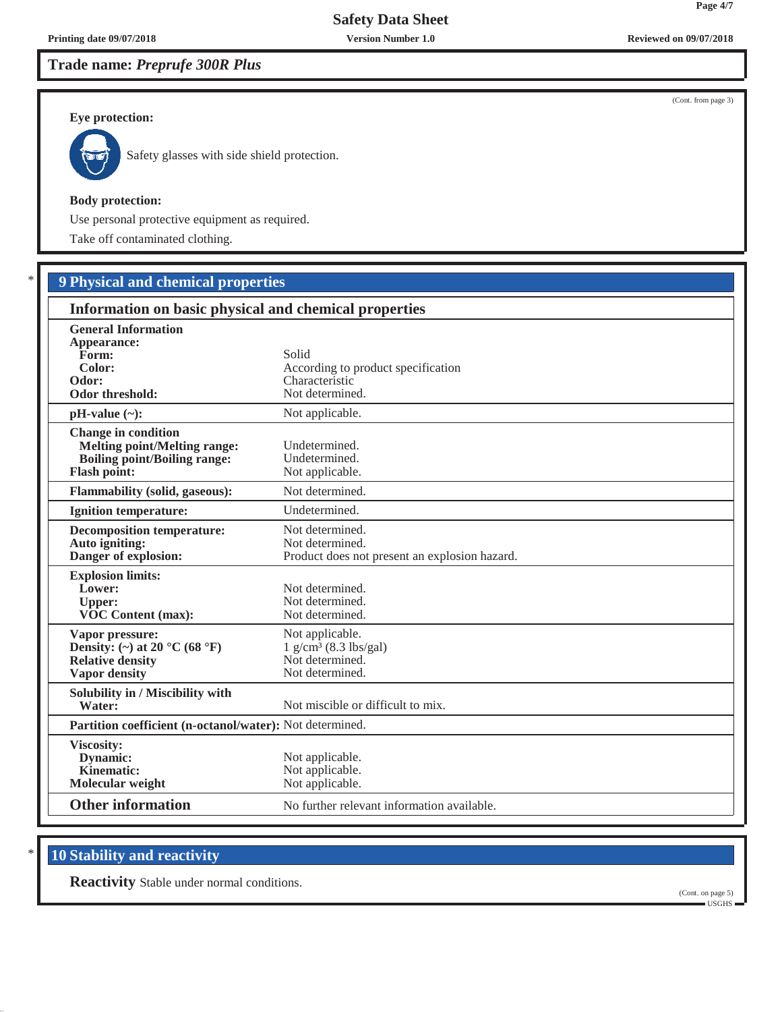## **Trade name:** *Preprufe 300R Plus*

#### **Eye protection:**



Safety glasses with side shield protection.

#### **Body protection:**

Use personal protective equipment as required.

Take off contaminated clothing.

## \* **9 Physical and chemical properties**

| Information on basic physical and chemical properties                                                                           |                                                                                              |  |
|---------------------------------------------------------------------------------------------------------------------------------|----------------------------------------------------------------------------------------------|--|
| <b>General Information</b><br>Appearance:<br>Form:<br>Color:<br>Odor:<br>Odor threshold:                                        | Solid<br>According to product specification<br>Characteristic<br>Not determined.             |  |
| $pH-value (\sim):$                                                                                                              | Not applicable.                                                                              |  |
| <b>Change in condition</b><br><b>Melting point/Melting range:</b><br><b>Boiling point/Boiling range:</b><br><b>Flash point:</b> | Undetermined.<br>Undetermined.<br>Not applicable.                                            |  |
| <b>Flammability (solid, gaseous):</b>                                                                                           | Not determined.                                                                              |  |
| <b>Ignition temperature:</b>                                                                                                    | Undetermined.                                                                                |  |
| <b>Decomposition temperature:</b><br>Auto igniting:<br>Danger of explosion:                                                     | Not determined.<br>Not determined.<br>Product does not present an explosion hazard.          |  |
| <b>Explosion limits:</b><br>Lower:<br><b>Upper:</b><br><b>VOC Content (max):</b>                                                | Not determined.<br>Not determined.<br>Not determined.                                        |  |
| Vapor pressure:<br>Density: (~) at 20 °C (68 °F)<br><b>Relative density</b><br><b>Vapor density</b>                             | Not applicable.<br>$1$ g/cm <sup>3</sup> (8.3 lbs/gal)<br>Not determined.<br>Not determined. |  |
| Solubility in / Miscibility with<br>Water:                                                                                      | Not miscible or difficult to mix.                                                            |  |
|                                                                                                                                 | Partition coefficient (n-octanol/water): Not determined.                                     |  |
| Viscosity:<br>Dynamic:<br>Kinematic:<br>Molecular weight                                                                        | Not applicable.<br>Not applicable.<br>Not applicable.                                        |  |
| <b>Other information</b>                                                                                                        | No further relevant information available.                                                   |  |

## **10 Stability and reactivity**

**Reactivity** Stable under normal conditions.

**Printing date 09/07/2018 Version Number 1.0 Reviewed on 09/07/2018**

(Cont. from page 3)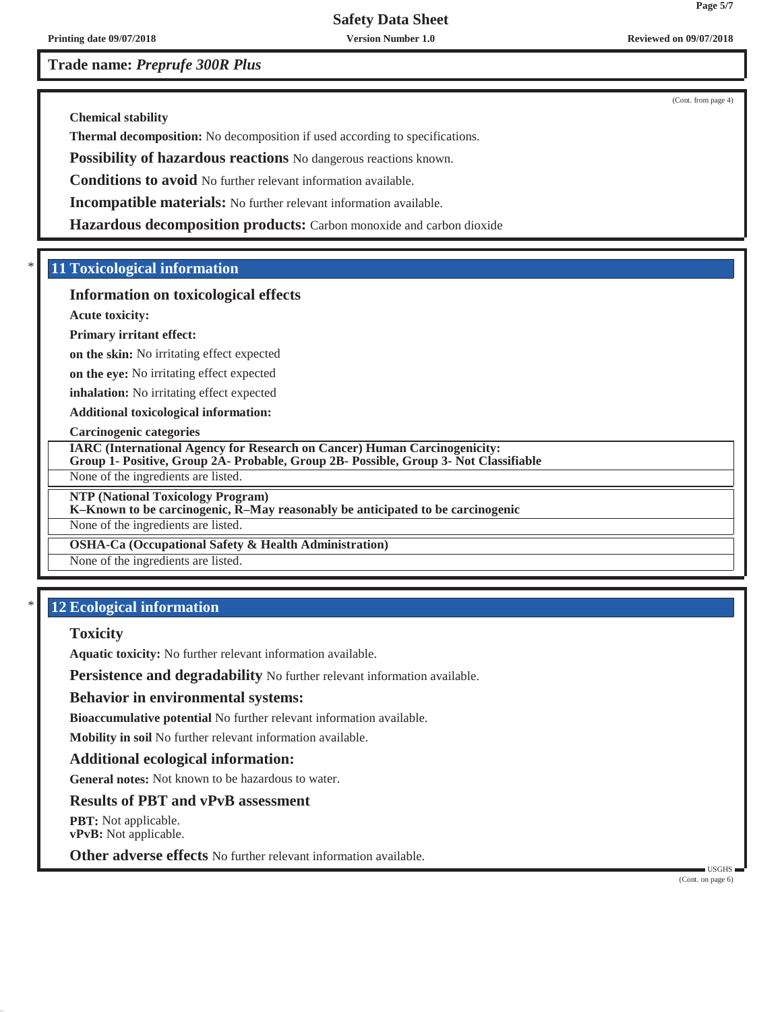**Printing date 09/07/2018 Version Number 1.0 Reviewed on 09/07/2018**

**Trade name:** *Preprufe 300R Plus*

(Cont. from page 4)

**Chemical stability**

**Thermal decomposition:** No decomposition if used according to specifications.

**Possibility of hazardous reactions** No dangerous reactions known.

**Conditions to avoid** No further relevant information available.

**Incompatible materials:** No further relevant information available.

**Hazardous decomposition products:** Carbon monoxide and carbon dioxide

### \* **11 Toxicological information**

### **Information on toxicological effects**

**Acute toxicity:**

#### **Primary irritant effect:**

**on the skin:** No irritating effect expected

**on the eye:** No irritating effect expected

**inhalation:** No irritating effect expected

**Additional toxicological information:**

#### **Carcinogenic categories**

**IARC (International Agency for Research on Cancer) Human Carcinogenicity:**

**Group 1- Positive, Group 2A- Probable, Group 2B- Possible, Group 3- Not Classifiable**

None of the ingredients are listed.

**NTP (National Toxicology Program)**

#### **K–Known to be carcinogenic, R–May reasonably be anticipated to be carcinogenic**

None of the ingredients are listed.

### **OSHA-Ca (Occupational Safety & Health Administration)**

None of the ingredients are listed.

### \* **12 Ecological information**

#### **Toxicity**

**Aquatic toxicity:** No further relevant information available.

**Persistence and degradability** No further relevant information available.

#### **Behavior in environmental systems:**

**Bioaccumulative potential** No further relevant information available.

**Mobility in soil** No further relevant information available.

### **Additional ecological information:**

**General notes:** Not known to be hazardous to water.

### **Results of PBT and vPvB assessment**

**PBT:** Not applicable. **vPvB:** Not applicable.

**Other adverse effects** No further relevant information available.

(Cont. on page 6)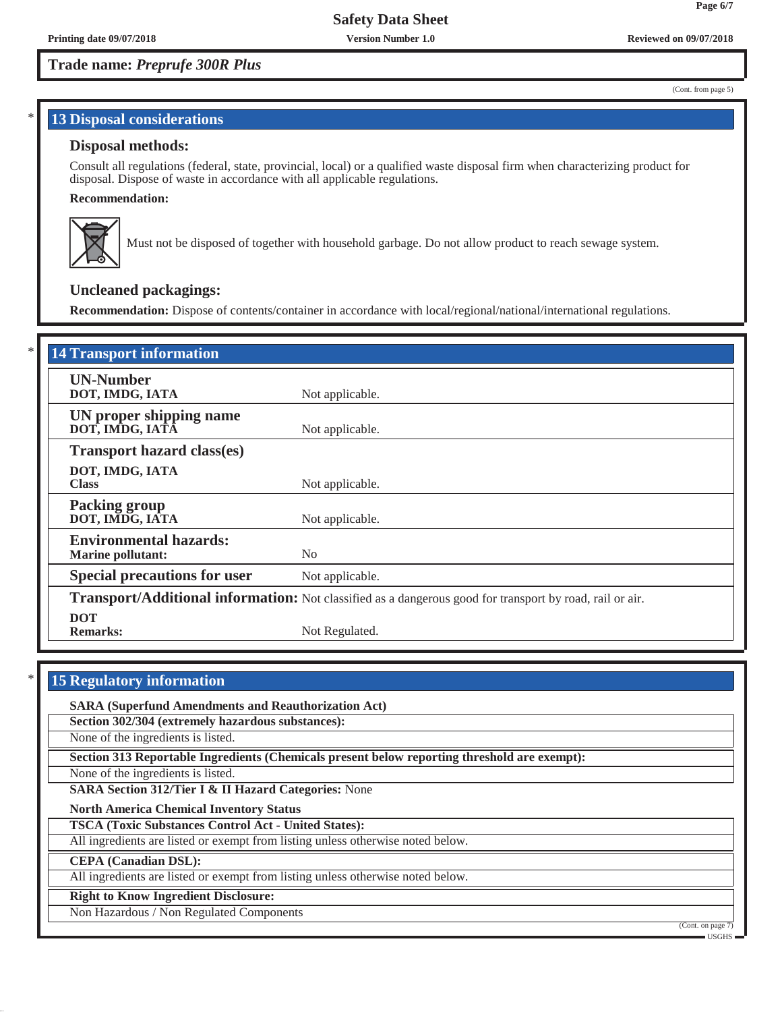#### (Cont. from page 5)

**Page 6/7**

### **13 Disposal considerations**

### **Disposal methods:**

Consult all regulations (federal, state, provincial, local) or a qualified waste disposal firm when characterizing product for disposal. Dispose of waste in accordance with all applicable regulations.

#### **Recommendation:**



Must not be disposed of together with household garbage. Do not allow product to reach sewage system.

### **Uncleaned packagings:**

**Recommendation:** Dispose of contents/container in accordance with local/regional/national/international regulations.

| <b>14 Transport information</b>                           |                                                                                                          |  |
|-----------------------------------------------------------|----------------------------------------------------------------------------------------------------------|--|
| <b>UN-Number</b><br>DOT, IMDG, IATA                       | Not applicable.                                                                                          |  |
| UN proper shipping name<br>DOT, IMDG, IATÂ                | Not applicable.                                                                                          |  |
| <b>Transport hazard class(es)</b>                         |                                                                                                          |  |
| DOT, IMDG, IATA<br><b>Class</b>                           | Not applicable.                                                                                          |  |
| <b>Packing group</b><br>DOT, IMDG, IATA                   | Not applicable.                                                                                          |  |
| <b>Environmental hazards:</b><br><b>Marine pollutant:</b> | No                                                                                                       |  |
| <b>Special precautions for user</b>                       | Not applicable.                                                                                          |  |
|                                                           | Transport/Additional information: Not classified as a dangerous good for transport by road, rail or air. |  |
| <b>DOT</b><br><b>Remarks:</b>                             | Not Regulated.                                                                                           |  |

**15 Regulatory information** 

**SARA (Superfund Amendments and Reauthorization Act)**

**Section 302/304 (extremely hazardous substances):**

None of the ingredients is listed.

**Section 313 Reportable Ingredients (Chemicals present below reporting threshold are exempt):**

None of the ingredients is listed.

**SARA Section 312/Tier I & II Hazard Categories:** None

**North America Chemical Inventory Status**

**TSCA (Toxic Substances Control Act - United States):**

All ingredients are listed or exempt from listing unless otherwise noted below.

**CEPA (Canadian DSL):**

All ingredients are listed or exempt from listing unless otherwise noted below.

#### **Right to Know Ingredient Disclosure:**

Non Hazardous / Non Regulated Components

 $\overline{\text{Cont. on page}}$ 

USGHS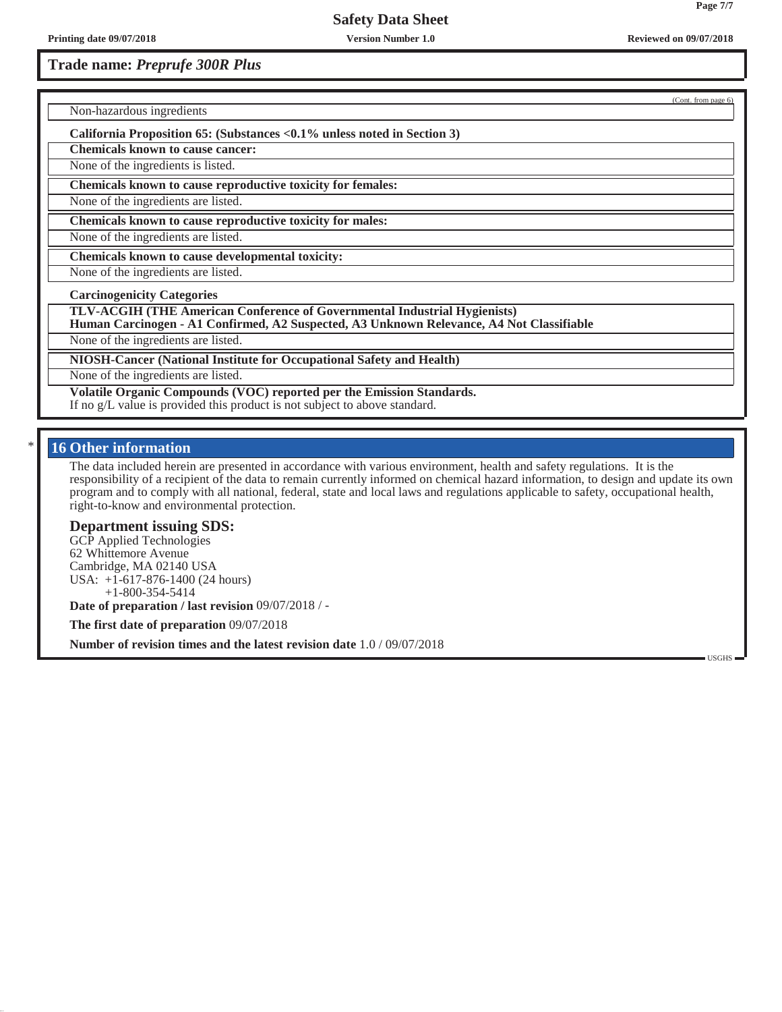### **Trade name:** *Preprufe 300R Plus*

Non-hazardous ingredients

**California Proposition 65: (Substances <0.1% unless noted in Section 3)**

**Chemicals known to cause cancer:**

None of the ingredients is listed.

**Chemicals known to cause reproductive toxicity for females:**

None of the ingredients are listed.

**Chemicals known to cause reproductive toxicity for males:**

None of the ingredients are listed.

**Chemicals known to cause developmental toxicity:**

None of the ingredients are listed.

**Carcinogenicity Categories**

**TLV-ACGIH (THE American Conference of Governmental Industrial Hygienists)**

**Human Carcinogen - A1 Confirmed, A2 Suspected, A3 Unknown Relevance, A4 Not Classifiable**

None of the ingredients are listed.

**NIOSH-Cancer (National Institute for Occupational Safety and Health)**

None of the ingredients are listed.

**Volatile Organic Compounds (VOC) reported per the Emission Standards.**

If no g/L value is provided this product is not subject to above standard.

### **16 Other information**

The data included herein are presented in accordance with various environment, health and safety regulations. It is the responsibility of a recipient of the data to remain currently informed on chemical hazard information, to design and update its own program and to comply with all national, federal, state and local laws and regulations applicable to safety, occupational health, right-to-know and environmental protection.

#### **Department issuing SDS:**

GCP Applied Technologies 62 Whittemore Avenue Cambridge, MA 02140 USA USA: +1-617-876-1400 (24 hours) +1-800-354-5414 **Date of preparation / last revision** 09/07/2018 / -

**The first date of preparation** 09/07/2018

**Number of revision times and the latest revision date**  $1.0 / 09/07/2018$ 

(Cont. from page 6)

**Page 7/7**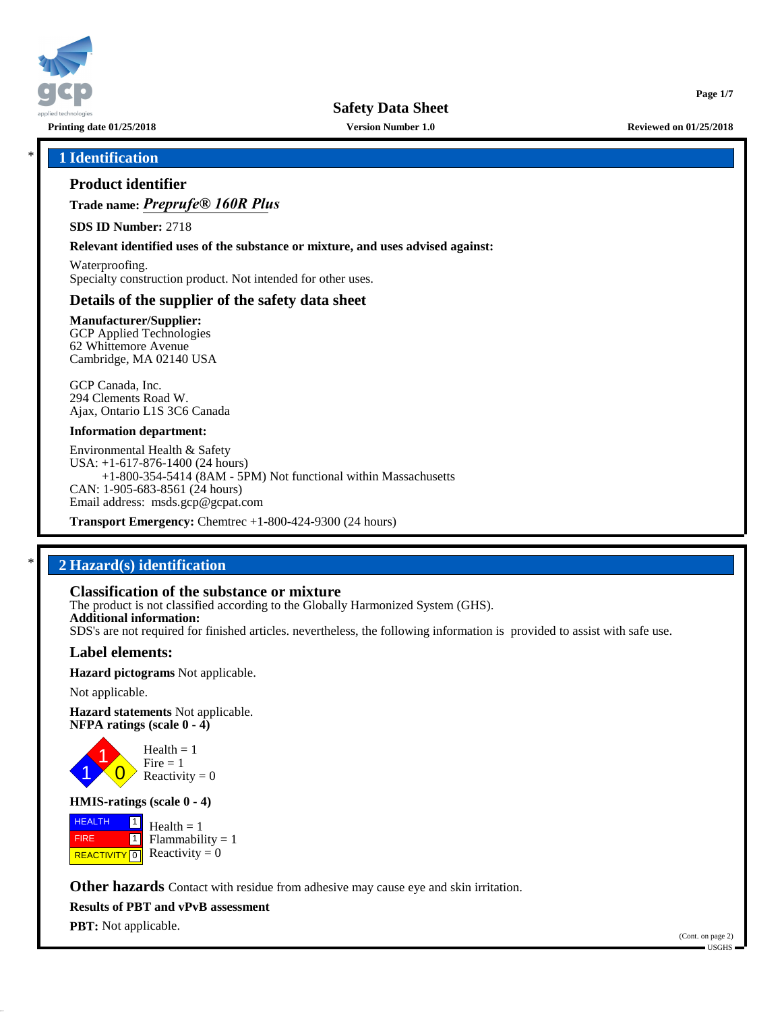

**Printing date 01/25/2018 Version Number 1.0 Reviewed on 01/25/2018**

**Page 1/7**

### \* **1 Identification**

### **Product identifier**

**Trade name:** *Preprufe® 160R Plus*

**SDS ID Number:** 2718

**Relevant identified uses of the substance or mixture, and uses advised against:**

Waterproofing. Specialty construction product. Not intended for other uses.

### **Details of the supplier of the safety data sheet**

**Manufacturer/Supplier:** GCP Applied Technologies 62 Whittemore Avenue Cambridge, MA 02140 USA

GCP Canada, Inc. 294 Clements Road W. Ajax, Ontario L1S 3C6 Canada

#### **Information department:**

Environmental Health & Safety USA: +1-617-876-1400 (24 hours) +1-800-354-5414 (8AM - 5PM) Not functional within Massachusetts CAN: 1-905-683-8561 (24 hours) Email address: msds.gcp@gcpat.com

**Transport Emergency:** Chemtrec +1-800-424-9300 (24 hours)

### \* **2 Hazard(s) identification**

### **Classification of the substance or mixture**

The product is not classified according to the Globally Harmonized System (GHS). **Additional information:** SDS's are not required for finished articles. nevertheless, the following information is provided to assist with safe use.

### **Label elements:**

**Hazard pictograms** Not applicable.

Not applicable.

**Hazard statements** Not applicable. **NFPA ratings (scale 0 - 4)**



**HMIS-ratings (scale 0 - 4)**

 HEALTH FIRE **REACTIVITY** 0  $\boxed{1}$  $\blacksquare$  $Health = 1$  $Flammability = 1$ Reactivity  $= 0$ 

**Other hazards** Contact with residue from adhesive may cause eye and skin irritation.

**Results of PBT and vPvB assessment**

**PBT:** Not applicable.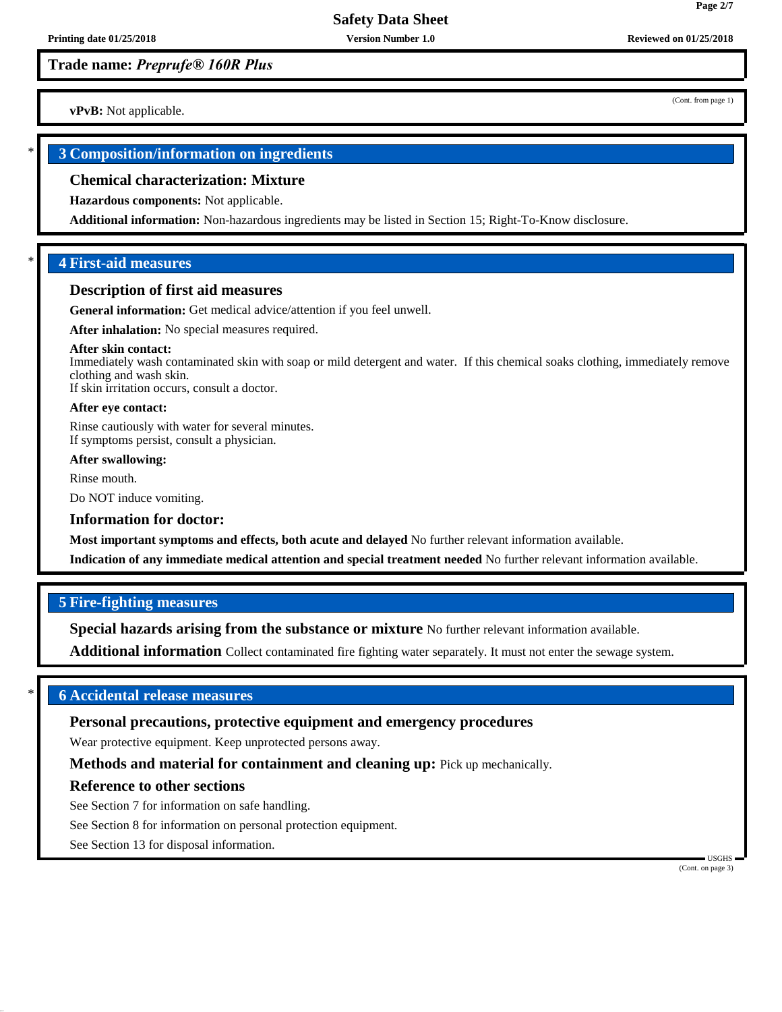**vPvB:** Not applicable.

### \* **3 Composition/information on ingredients**

#### **Chemical characterization: Mixture**

**Hazardous components:** Not applicable.

**Additional information:** Non-hazardous ingredients may be listed in Section 15; Right-To-Know disclosure.

### \* **4 First-aid measures**

#### **Description of first aid measures**

**General information:** Get medical advice/attention if you feel unwell.

**After inhalation:** No special measures required.

#### **After skin contact:**

Immediately wash contaminated skin with soap or mild detergent and water. If this chemical soaks clothing, immediately remove clothing and wash skin. If skin irritation occurs, consult a doctor.

**After eye contact:**

Rinse cautiously with water for several minutes. If symptoms persist, consult a physician.

**After swallowing:**

Rinse mouth.

Do NOT induce vomiting.

#### **Information for doctor:**

**Most important symptoms and effects, both acute and delayed** No further relevant information available.

**Indication of any immediate medical attention and special treatment needed** No further relevant information available.

### **5 Fire-fighting measures**

**Special hazards arising from the substance or mixture** No further relevant information available.

**Additional information** Collect contaminated fire fighting water separately. It must not enter the sewage system.

### \* **6 Accidental release measures**

#### **Personal precautions, protective equipment and emergency procedures**

Wear protective equipment. Keep unprotected persons away.

**Methods and material for containment and cleaning up:** Pick up mechanically.

#### **Reference to other sections**

See Section 7 for information on safe handling.

See Section 8 for information on personal protection equipment.

See Section 13 for disposal information.

 USGHS (Cont. on page 3)

(Cont. from page 1)

**Page 2/7**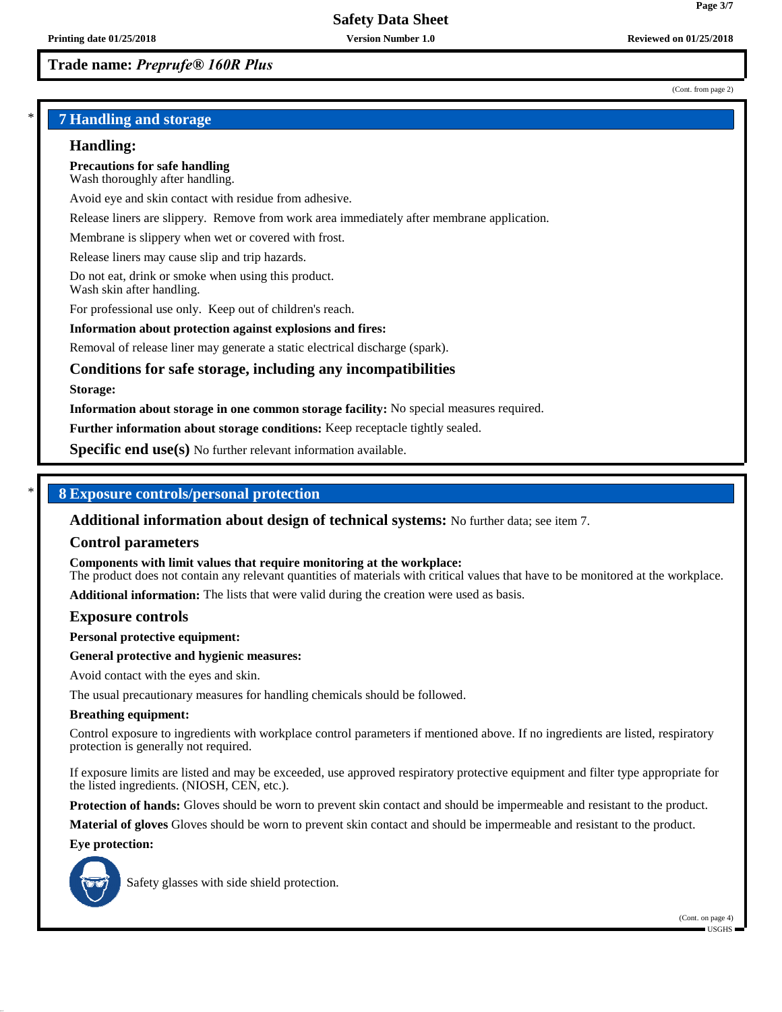#### (Cont. from page 2)

**Page 3/7**

### \* **7 Handling and storage**

#### **Handling:**

**Precautions for safe handling** Wash thoroughly after handling.

Avoid eye and skin contact with residue from adhesive.

Release liners are slippery. Remove from work area immediately after membrane application.

Membrane is slippery when wet or covered with frost.

Release liners may cause slip and trip hazards.

Do not eat, drink or smoke when using this product. Wash skin after handling.

For professional use only. Keep out of children's reach.

#### **Information about protection against explosions and fires:**

Removal of release liner may generate a static electrical discharge (spark).

### **Conditions for safe storage, including any incompatibilities**

#### **Storage:**

**Information about storage in one common storage facility:** No special measures required.

**Further information about storage conditions:** Keep receptacle tightly sealed.

**Specific end use(s)** No further relevant information available.

### \* **8 Exposure controls/personal protection**

**Additional information about design of technical systems:** No further data; see item 7.

#### **Control parameters**

**Components with limit values that require monitoring at the workplace:**

The product does not contain any relevant quantities of materials with critical values that have to be monitored at the workplace.

**Additional information:** The lists that were valid during the creation were used as basis.

#### **Exposure controls**

**Personal protective equipment:**

#### **General protective and hygienic measures:**

Avoid contact with the eyes and skin.

The usual precautionary measures for handling chemicals should be followed.

#### **Breathing equipment:**

Control exposure to ingredients with workplace control parameters if mentioned above. If no ingredients are listed, respiratory protection is generally not required.

If exposure limits are listed and may be exceeded, use approved respiratory protective equipment and filter type appropriate for the listed ingredients. (NIOSH, CEN, etc.).

**Protection of hands:** Gloves should be worn to prevent skin contact and should be impermeable and resistant to the product.

**Material of gloves** Gloves should be worn to prevent skin contact and should be impermeable and resistant to the product.

#### **Eye protection:**



Safety glasses with side shield protection.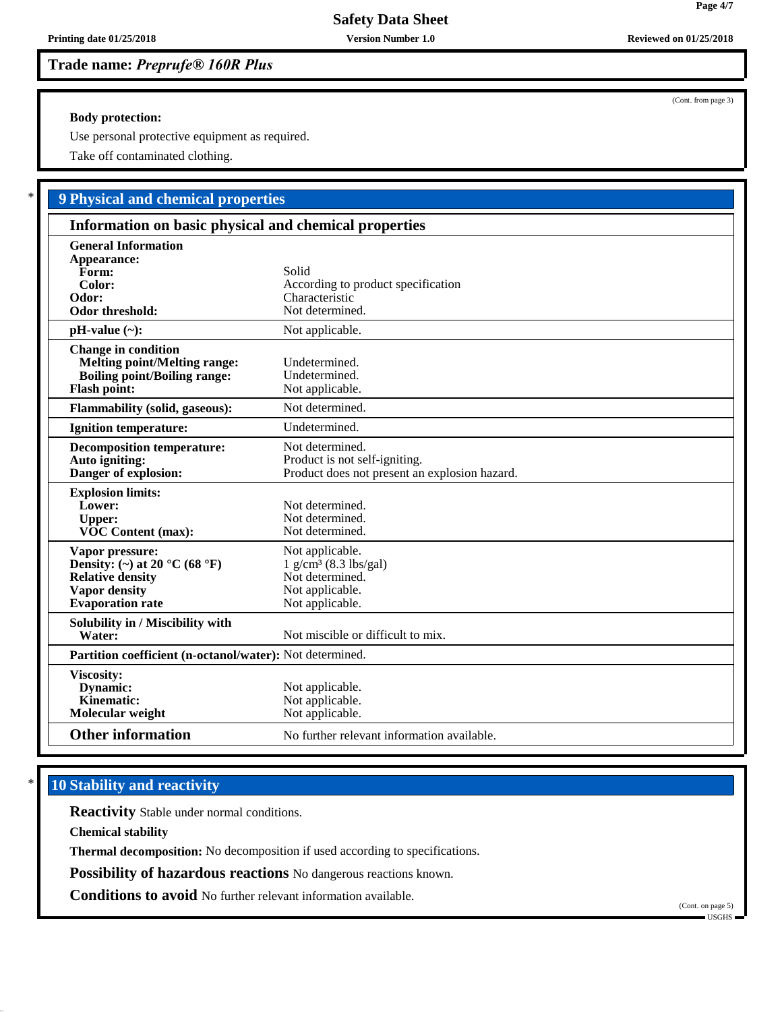#### **Body protection:**

Use personal protective equipment as required.

Take off contaminated clothing.

# \* **9 Physical and chemical properties**

| Information on basic physical and chemical properties                                                                           |                                                                                                                 |  |
|---------------------------------------------------------------------------------------------------------------------------------|-----------------------------------------------------------------------------------------------------------------|--|
| <b>General Information</b><br>Appearance:<br>Form:<br>Color:<br>Odor:<br><b>Odor threshold:</b>                                 | Solid<br>According to product specification<br>Characteristic<br>Not determined.                                |  |
| $pH-value (\sim):$                                                                                                              | Not applicable.                                                                                                 |  |
| <b>Change in condition</b><br><b>Melting point/Melting range:</b><br><b>Boiling point/Boiling range:</b><br><b>Flash point:</b> | Undetermined.<br>Undetermined.<br>Not applicable.                                                               |  |
| <b>Flammability (solid, gaseous):</b>                                                                                           | Not determined.                                                                                                 |  |
| <b>Ignition temperature:</b>                                                                                                    | Undetermined.                                                                                                   |  |
| <b>Decomposition temperature:</b><br>Auto igniting:<br>Danger of explosion:                                                     | Not determined.<br>Product is not self-igniting.<br>Product does not present an explosion hazard.               |  |
| <b>Explosion limits:</b><br>Lower:<br><b>Upper:</b><br><b>VOC Content (max):</b>                                                | Not determined.<br>Not determined.<br>Not determined.                                                           |  |
| Vapor pressure:<br>Density: (~) at 20 °C (68 °F)<br><b>Relative density</b><br><b>Vapor density</b><br><b>Evaporation</b> rate  | Not applicable.<br>$1$ g/cm <sup>3</sup> (8.3 lbs/gal)<br>Not determined.<br>Not applicable.<br>Not applicable. |  |
| Solubility in / Miscibility with<br>Water:                                                                                      | Not miscible or difficult to mix.                                                                               |  |
| Partition coefficient (n-octanol/water): Not determined.                                                                        |                                                                                                                 |  |
| Viscosity:<br>Dynamic:<br>Kinematic:<br>Molecular weight                                                                        | Not applicable.<br>Not applicable.<br>Not applicable.                                                           |  |
| <b>Other information</b>                                                                                                        | No further relevant information available.                                                                      |  |

## **10 Stability and reactivity**

**Reactivity** Stable under normal conditions.

**Chemical stability**

**Thermal decomposition:** No decomposition if used according to specifications.

**Possibility of hazardous reactions** No dangerous reactions known.

**Conditions to avoid** No further relevant information available.

(Cont. on page 5)

(Cont. from page 3)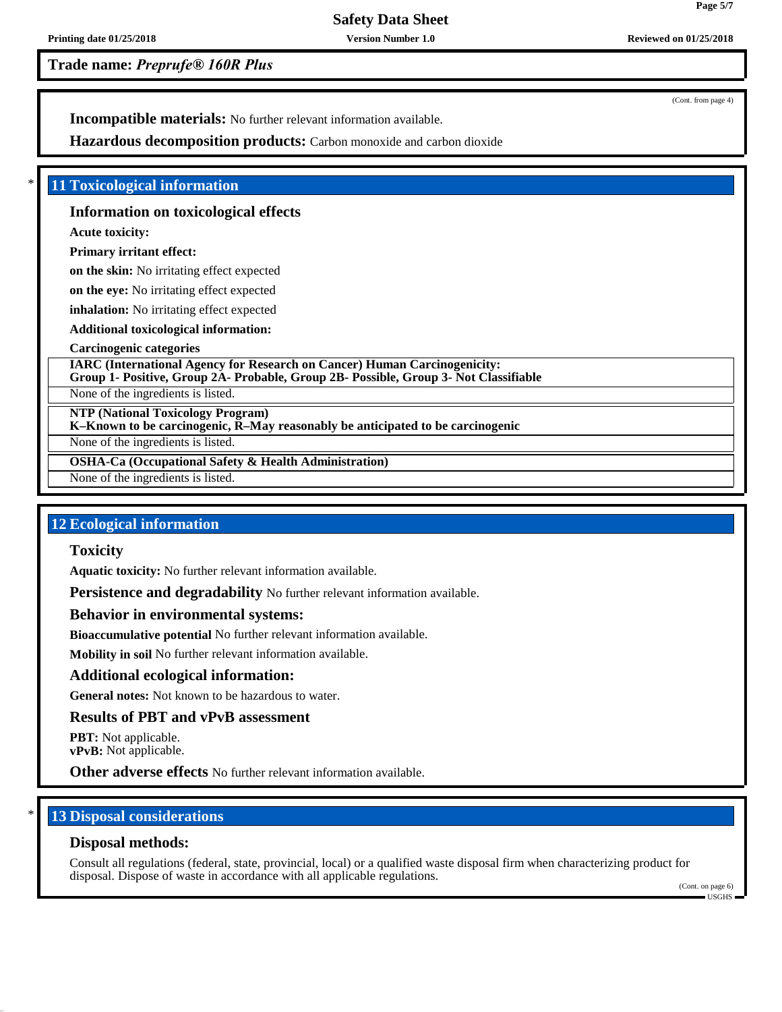**Trade name:** *Preprufe® 160R Plus*

(Cont. from page 4)

**Incompatible materials:** No further relevant information available.

**Hazardous decomposition products:** Carbon monoxide and carbon dioxide

### **11 Toxicological information**

### **Information on toxicological effects**

**Acute toxicity:**

### **Primary irritant effect:**

**on the skin:** No irritating effect expected

**on the eye:** No irritating effect expected

**inhalation:** No irritating effect expected

**Additional toxicological information:**

### **Carcinogenic categories**

**IARC (International Agency for Research on Cancer) Human Carcinogenicity: Group 1- Positive, Group 2A- Probable, Group 2B- Possible, Group 3- Not Classifiable**

None of the ingredients is listed.

**NTP (National Toxicology Program)**

**K–Known to be carcinogenic, R–May reasonably be anticipated to be carcinogenic**

None of the ingredients is listed.

**OSHA-Ca (Occupational Safety & Health Administration)**

None of the ingredients is listed.

### **12 Ecological information**

### **Toxicity**

**Aquatic toxicity:** No further relevant information available.

**Persistence and degradability** No further relevant information available.

### **Behavior in environmental systems:**

**Bioaccumulative potential** No further relevant information available.

**Mobility in soil** No further relevant information available.

### **Additional ecological information:**

**General notes:** Not known to be hazardous to water.

### **Results of PBT and vPvB assessment**

**PBT:** Not applicable. **vPvB:** Not applicable.

**Other adverse effects** No further relevant information available.

### **13 Disposal considerations**

### **Disposal methods:**

Consult all regulations (federal, state, provincial, local) or a qualified waste disposal firm when characterizing product for disposal. Dispose of waste in accordance with all applicable regulations.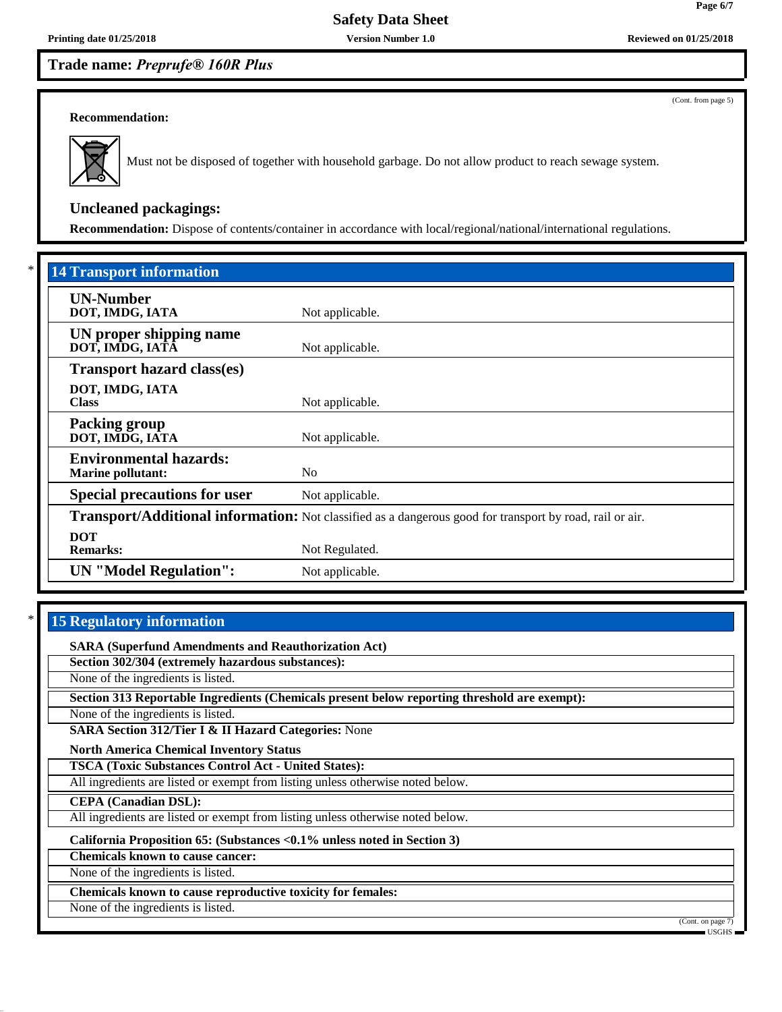(Cont. from page 5)

**Page 6/7**

#### **Recommendation:**



Must not be disposed of together with household garbage. Do not allow product to reach sewage system.

### **Uncleaned packagings:**

**Recommendation:** Dispose of contents/container in accordance with local/regional/national/international regulations.

| <b>14 Transport information</b>                           |                                                                                                          |
|-----------------------------------------------------------|----------------------------------------------------------------------------------------------------------|
| <b>UN-Number</b><br>DOT, IMDG, IATA                       | Not applicable.                                                                                          |
| UN proper shipping name<br>DOT, IMDG, IATĀ                | Not applicable.                                                                                          |
| <b>Transport hazard class(es)</b>                         |                                                                                                          |
| DOT, IMDG, IATA<br><b>Class</b>                           | Not applicable.                                                                                          |
| <b>Packing group</b><br>DOT, IMDG, IATA                   | Not applicable.                                                                                          |
| <b>Environmental hazards:</b><br><b>Marine pollutant:</b> | N <sub>o</sub>                                                                                           |
| <b>Special precautions for user</b>                       | Not applicable.                                                                                          |
|                                                           | Transport/Additional information: Not classified as a dangerous good for transport by road, rail or air. |
| <b>DOT</b><br><b>Remarks:</b>                             | Not Regulated.                                                                                           |
| <b>UN</b> "Model Regulation":                             | Not applicable.                                                                                          |

### **15 Regulatory information**

**SARA (Superfund Amendments and Reauthorization Act)**

**Section 302/304 (extremely hazardous substances):**

None of the ingredients is listed.

**Section 313 Reportable Ingredients (Chemicals present below reporting threshold are exempt):**

None of the ingredients is listed.

**SARA Section 312/Tier I & II Hazard Categories:** None

**North America Chemical Inventory Status**

**TSCA (Toxic Substances Control Act - United States):**

All ingredients are listed or exempt from listing unless otherwise noted below.

**CEPA (Canadian DSL):**

All ingredients are listed or exempt from listing unless otherwise noted below.

**California Proposition 65: (Substances <0.1% unless noted in Section 3)**

**Chemicals known to cause cancer:**

None of the ingredients is listed.

**Chemicals known to cause reproductive toxicity for females:**

None of the ingredients is listed.

(Cont. on page 7)